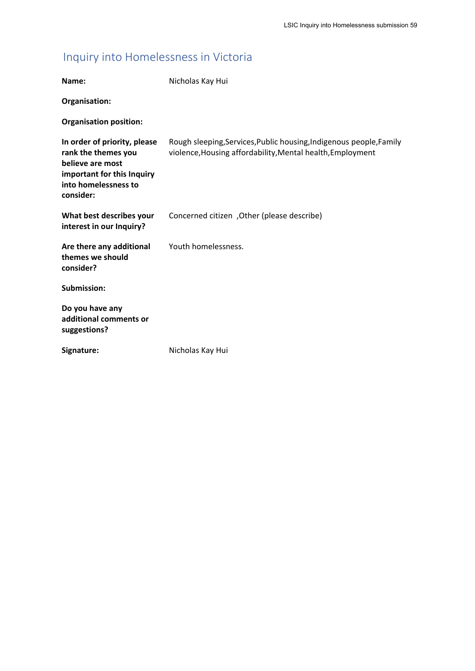# Inquiry into Homelessness in Victoria

| Name:                                                                                                                                      | Nicholas Kay Hui                                                                                                                  |
|--------------------------------------------------------------------------------------------------------------------------------------------|-----------------------------------------------------------------------------------------------------------------------------------|
| Organisation:                                                                                                                              |                                                                                                                                   |
| <b>Organisation position:</b>                                                                                                              |                                                                                                                                   |
| In order of priority, please<br>rank the themes you<br>believe are most<br>important for this Inquiry<br>into homelessness to<br>consider: | Rough sleeping, Services, Public housing, Indigenous people, Family<br>violence, Housing affordability, Mental health, Employment |
| What best describes your<br>interest in our Inquiry?                                                                                       | Concerned citizen, Other (please describe)                                                                                        |
| Are there any additional<br>themes we should<br>consider?                                                                                  | Youth homelessness.                                                                                                               |
| Submission:                                                                                                                                |                                                                                                                                   |
| Do you have any<br>additional comments or<br>suggestions?                                                                                  |                                                                                                                                   |
| Signature:                                                                                                                                 | Nicholas Kay Hui                                                                                                                  |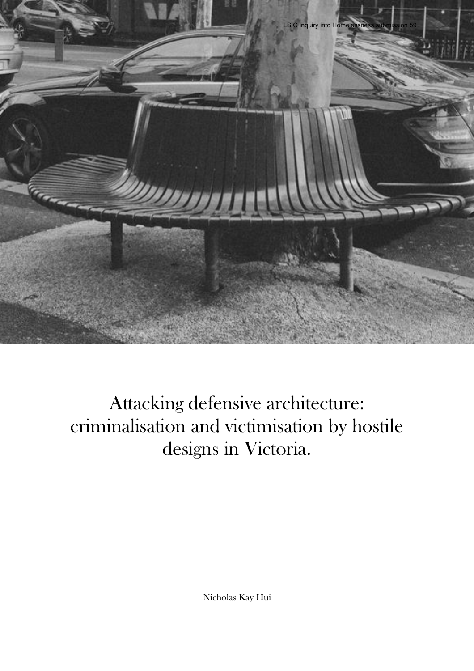

Attacking defensive architecture: criminalisation and victimisation by hostile designs in Victoria.

Nicholas Kay Hui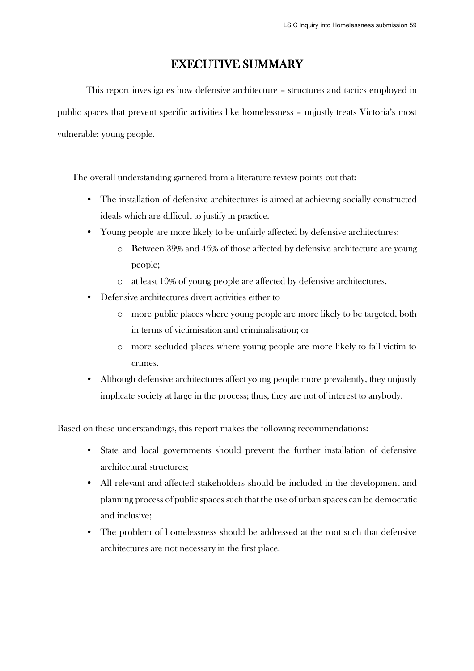# EXECUTIVE SUMMARY

This report investigates how defensive architecture – structures and tactics employed in public spaces that prevent specific activities like homelessness – unjustly treats Victoria's most vulnerable: young people.

The overall understanding garnered from a literature review points out that:

- The installation of defensive architectures is aimed at achieving socially constructed ideals which are difficult to justify in practice.
- Young people are more likely to be unfairly affected by defensive architectures:
	- o Between 39% and 46% of those affected by defensive architecture are young people;
	- o at least 10% of young people are affected by defensive architectures.
- Defensive architectures divert activities either to
	- o more public places where young people are more likely to be targeted, both in terms of victimisation and criminalisation; or
	- o more secluded places where young people are more likely to fall victim to crimes.
- Although defensive architectures affect young people more prevalently, they unjustly implicate society at large in the process; thus, they are not of interest to anybody.

Based on these understandings, this report makes the following recommendations:

- State and local governments should prevent the further installation of defensive architectural structures;
- All relevant and affected stakeholders should be included in the development and planning process of public spaces such that the use of urban spaces can be democratic and inclusive;
- The problem of homelessness should be addressed at the root such that defensive architectures are not necessary in the first place.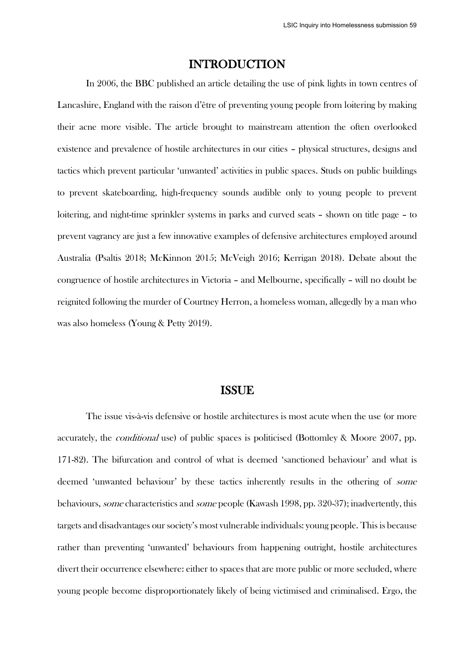## INTRODUCTION

In 2006, the BBC published an article detailing the use of pink lights in town centres of Lancashire, England with the raison d'être of preventing young people from loitering by making their acne more visible. The article brought to mainstream attention the often overlooked existence and prevalence of hostile architectures in our cities – physical structures, designs and tactics which prevent particular 'unwanted' activities in public spaces. Studs on public buildings to prevent skateboarding, high-frequency sounds audible only to young people to prevent loitering, and night-time sprinkler systems in parks and curved seats – shown on title page – to prevent vagrancy are just a few innovative examples of defensive architectures employed around Australia (Psaltis 2018; McKinnon 2015; McVeigh 2016; Kerrigan 2018). Debate about the congruence of hostile architectures in Victoria – and Melbourne, specifically – will no doubt be reignited following the murder of Courtney Herron, a homeless woman, allegedly by a man who was also homeless (Young & Petty 2019).

### ISSUE

The issue vis-à-vis defensive or hostile architectures is most acute when the use (or more accurately, the conditional use) of public spaces is politicised (Bottomley & Moore 2007, pp. 171-82). The bifurcation and control of what is deemed 'sanctioned behaviour' and what is deemed 'unwanted behaviour' by these tactics inherently results in the othering of some behaviours, some characteristics and some people (Kawash 1998, pp. 320-37); inadvertently, this targets and disadvantages our society's most vulnerable individuals: young people. This is because rather than preventing 'unwanted' behaviours from happening outright, hostile architectures divert their occurrence elsewhere: either to spaces that are more public or more secluded, where young people become disproportionately likely of being victimised and criminalised. Ergo, the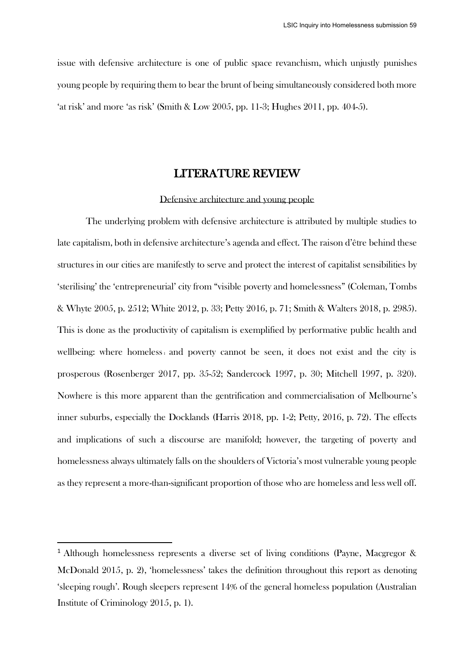issue with defensive architecture is one of public space revanchism, which unjustly punishes young people by requiring them to bear the brunt of being simultaneously considered both more 'at risk' and more 'as risk' (Smith & Low 2005, pp. 11-3; Hughes 2011, pp. 404-5).

### LITERATURE REVIEW

#### Defensive architecture and young people

The underlying problem with defensive architecture is attributed by multiple studies to late capitalism, both in defensive architecture's agenda and effect. The raison d'être behind these structures in our cities are manifestly to serve and protect the interest of capitalist sensibilities by 'sterilising' the 'entrepreneurial' city from "visible poverty and homelessness" (Coleman, Tombs & Whyte 2005, p. 2512; White 2012, p. 33; Petty 2016, p. 71; Smith & Walters 2018, p. 2985). This is done as the productivity of capitalism is exemplified by performative public health and wellbeing: where homeless $_1$  and poverty cannot be seen, it does not exist and the city is prosperous (Rosenberger 2017, pp. 35-52; Sandercock 1997, p. 30; Mitchell 1997, p. 320). Nowhere is this more apparent than the gentrification and commercialisation of Melbourne's inner suburbs, especially the Docklands (Harris 2018, pp. 1-2; Petty, 2016, p. 72). The effects and implications of such a discourse are manifold; however, the targeting of poverty and homelessness always ultimately falls on the shoulders of Victoria's most vulnerable young people as they represent a more-than-significant proportion of those who are homeless and less well off.

<sup>1</sup> Although homelessness represents a diverse set of living conditions (Payne, Macgregor & McDonald 2015, p. 2), 'homelessness' takes the definition throughout this report as denoting 'sleeping rough'. Rough sleepers represent 14% of the general homeless population (Australian Institute of Criminology 2015, p. 1).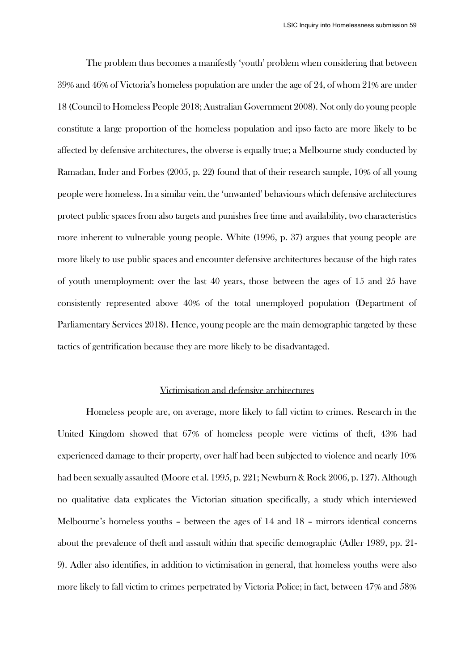The problem thus becomes a manifestly 'youth' problem when considering that between 39% and 46% of Victoria's homeless population are under the age of 24, of whom 21% are under 18 (Council to Homeless People 2018; Australian Government 2008). Not only do young people constitute a large proportion of the homeless population and ipso facto are more likely to be affected by defensive architectures, the obverse is equally true; a Melbourne study conducted by Ramadan, Inder and Forbes (2005, p. 22) found that of their research sample, 10% of all young people were homeless. In a similar vein, the 'unwanted' behaviours which defensive architectures protect public spaces from also targets and punishes free time and availability, two characteristics more inherent to vulnerable young people. White (1996, p. 37) argues that young people are more likely to use public spaces and encounter defensive architectures because of the high rates of youth unemployment: over the last 40 years, those between the ages of 15 and 25 have consistently represented above 40% of the total unemployed population (Department of Parliamentary Services 2018). Hence, young people are the main demographic targeted by these tactics of gentrification because they are more likely to be disadvantaged.

#### Victimisation and defensive architectures

Homeless people are, on average, more likely to fall victim to crimes. Research in the United Kingdom showed that 67% of homeless people were victims of theft, 43% had experienced damage to their property, over half had been subjected to violence and nearly 10% had been sexually assaulted (Moore et al. 1995, p. 221; Newburn & Rock 2006, p. 127). Although no qualitative data explicates the Victorian situation specifically, a study which interviewed Melbourne's homeless youths – between the ages of 14 and 18 – mirrors identical concerns about the prevalence of theft and assault within that specific demographic (Adler 1989, pp. 21- 9). Adler also identifies, in addition to victimisation in general, that homeless youths were also more likely to fall victim to crimes perpetrated by Victoria Police; in fact, between 47% and 58%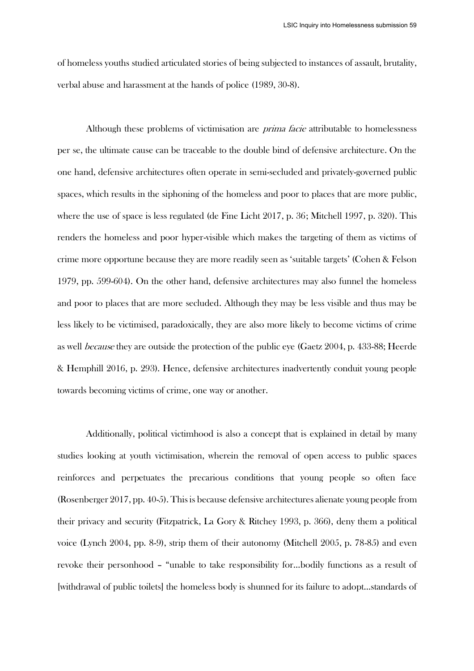of homeless youths studied articulated stories of being subjected to instances of assault, brutality, verbal abuse and harassment at the hands of police (1989, 30-8).

Although these problems of victimisation are prima facie attributable to homelessness per se, the ultimate cause can be traceable to the double bind of defensive architecture. On the one hand, defensive architectures often operate in semi-secluded and privately-governed public spaces, which results in the siphoning of the homeless and poor to places that are more public, where the use of space is less regulated (de Fine Licht 2017, p. 36; Mitchell 1997, p. 320). This renders the homeless and poor hyper-visible which makes the targeting of them as victims of crime more opportune because they are more readily seen as 'suitable targets' (Cohen & Felson 1979, pp. 599-604). On the other hand, defensive architectures may also funnel the homeless and poor to places that are more secluded. Although they may be less visible and thus may be less likely to be victimised, paradoxically, they are also more likely to become victims of crime as well because they are outside the protection of the public eye (Gaetz 2004, p. 433-88; Heerde & Hemphill 2016, p. 293). Hence, defensive architectures inadvertently conduit young people towards becoming victims of crime, one way or another.

Additionally, political victimhood is also a concept that is explained in detail by many studies looking at youth victimisation, wherein the removal of open access to public spaces reinforces and perpetuates the precarious conditions that young people so often face (Rosenberger 2017, pp. 40-5). This is because defensive architectures alienate young people from their privacy and security (Fitzpatrick, La Gory & Ritchey 1993, p. 366), deny them a political voice (Lynch 2004, pp. 8-9), strip them of their autonomy (Mitchell 2005, p. 78-85) and even revoke their personhood – "unable to take responsibility for…bodily functions as a result of [withdrawal of public toilets] the homeless body is shunned for its failure to adopt…standards of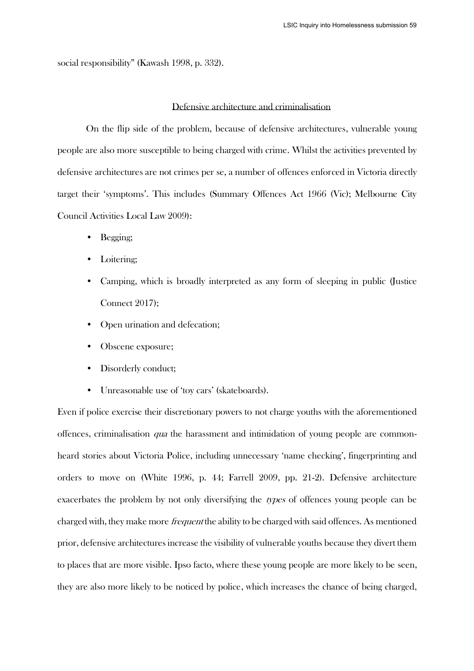social responsibility" (Kawash 1998, p. 332).

#### Defensive architecture and criminalisation

On the flip side of the problem, because of defensive architectures, vulnerable young people are also more susceptible to being charged with crime. Whilst the activities prevented by defensive architectures are not crimes per se, a number of offences enforced in Victoria directly target their 'symptoms'. This includes (Summary Offences Act 1966 (Vic); Melbourne City Council Activities Local Law 2009):

- Begging;
- Loitering:
- Camping, which is broadly interpreted as any form of sleeping in public (Justice Connect 2017);
- Open urination and defecation;
- Obscene exposure;
- Disorderly conduct;
- Unreasonable use of 'toy cars' (skateboards).

Even if police exercise their discretionary powers to not charge youths with the aforementioned offences, criminalisation qua the harassment and intimidation of young people are commonheard stories about Victoria Police, including unnecessary 'name checking', fingerprinting and orders to move on (White 1996, p. 44; Farrell 2009, pp. 21-2). Defensive architecture exacerbates the problem by not only diversifying the types of offences young people can be charged with, they make more *frequent* the ability to be charged with said offences. As mentioned prior, defensive architectures increase the visibility of vulnerable youths because they divert them to places that are more visible. Ipso facto, where these young people are more likely to be seen, they are also more likely to be noticed by police, which increases the chance of being charged,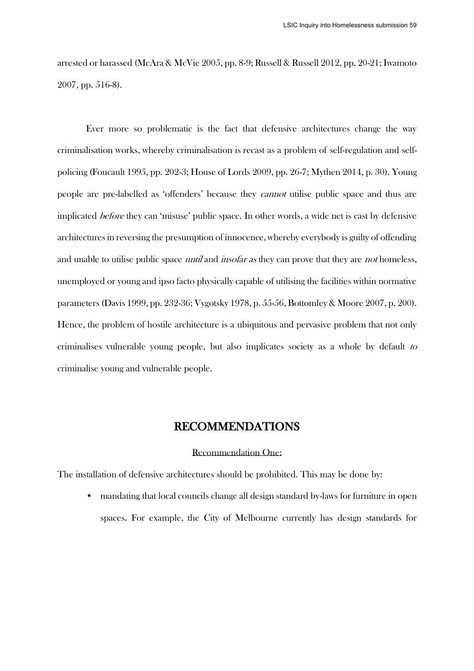arrested or harassed (McAra & McVie 2005, pp. 8-9; Russell & Russell 2012, pp. 20-21; Iwamoto 2007, pp. 516-8).

Ever more so problematic is the fact that defensive architectures change the way criminalisation works, whereby criminalisation is recast as a problem of self-regulation and selfpolicing (Foucault 1995, pp. 202-3; House of Lords 2009, pp. 26-7; Mythen 2014, p. 30). Young people are pre-labelled as 'offenders' because they cannot utilise public space and thus are implicated before they can 'misuse' public space. In other words, a wide net is cast by defensive architectures in reversing the presumption of innocence, whereby everybody is guilty of offending and unable to utilise public space *until* and *insofar as* they can prove that they are *not* homeless, unemployed or young and ipso facto physically capable of utilising the facilities within normative parameters (Davis 1999, pp. 232-36; Vygotsky 1978, p. 55-56, Bottomley & Moore 2007, p. 200). Hence, the problem of hostile architecture is a ubiquitous and pervasive problem that not only criminalises vulnerable young people, but also implicates society as a whole by default to criminalise young and vulnerable people.

# RECOMMENDATIONS

#### Recommendation One:

The installation of defensive architectures should be prohibited. This may be done by:

• mandating that local councils change all design standard by-laws for furniture in open spaces. For example, the City of Melbourne currently has design standards for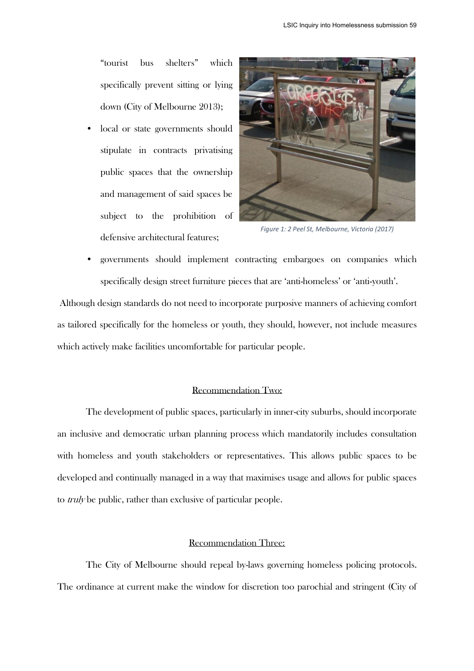"tourist bus shelters" which specifically prevent sitting or lying down (City of Melbourne 2013);

local or state governments should stipulate in contracts privatising public spaces that the ownership and management of said spaces be subject to the prohibition of defensive architectural features;



*Figure 1: 2 Peel St, Melbourne, Victoria (2017)*

• governments should implement contracting embargoes on companies which specifically design street furniture pieces that are 'anti-homeless' or 'anti-youth'.

Although design standards do not need to incorporate purposive manners of achieving comfort as tailored specifically for the homeless or youth, they should, however, not include measures which actively make facilities uncomfortable for particular people.

#### Recommendation Two:

The development of public spaces, particularly in inner-city suburbs, should incorporate an inclusive and democratic urban planning process which mandatorily includes consultation with homeless and youth stakeholders or representatives. This allows public spaces to be developed and continually managed in a way that maximises usage and allows for public spaces to *truly* be public, rather than exclusive of particular people.

#### Recommendation Three:

The City of Melbourne should repeal by-laws governing homeless policing protocols. The ordinance at current make the window for discretion too parochial and stringent (City of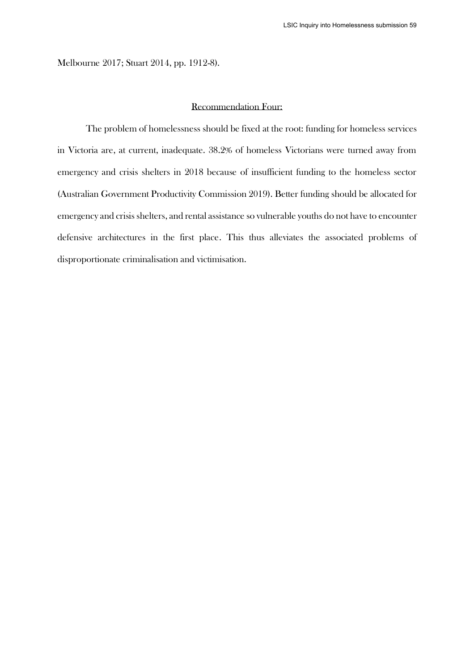Melbourne 2017; Stuart 2014, pp. 1912-8).

#### Recommendation Four:

The problem of homelessness should be fixed at the root: funding for homeless services in Victoria are, at current, inadequate. 38.2% of homeless Victorians were turned away from emergency and crisis shelters in 2018 because of insufficient funding to the homeless sector (Australian Government Productivity Commission 2019). Better funding should be allocated for emergency and crisis shelters, and rental assistance so vulnerable youths do not have to encounter defensive architectures in the first place. This thus alleviates the associated problems of disproportionate criminalisation and victimisation.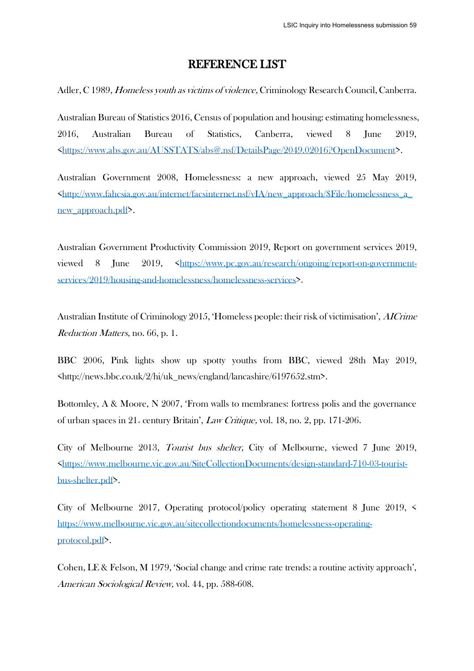### REFERENCE LIST

Adler, C 1989, *Homeless youth as victims of violence*, Criminology Research Council, Canberra.

Australian Bureau of Statistics 2016, Census of population and housing: estimating homelessness, 2016, Australian Bureau of Statistics, Canberra, viewed 8 June 2019, [<https://www.abs.gov.au/AUSSTATS/abs@.nsf/DetailsPage/2049.02016?OpenDocument>](https://www.abs.gov.au/AUSSTATS/abs@.nsf/DetailsPage/2049.02016?OpenDocument).

Australian Government 2008, Homelessness: a new approach, viewed 25 May 2019, [<http://www.fahcsia.gov.au/internet/facsinternet.nsf/vIA/new\\_approach/\\$File/homelessness\\_a\\_](http://www.fahcsia.gov.au/internet/facsinternet.nsf/vIA/new_approach/$File/homelessness_a_new_approach.pdf) [new\\_approach.pdf>](http://www.fahcsia.gov.au/internet/facsinternet.nsf/vIA/new_approach/$File/homelessness_a_new_approach.pdf).

Australian Government Productivity Commission 2019, Report on government services 2019, viewed 8 June 2019,  $\frac{\text{th}(1.5)}{\text{th}(1.5)}$  /www.pc.gov.au/research/ongoing/report-on-government[services/2019/housing-and-homelessness/homelessness-services>](https://www.pc.gov.au/research/ongoing/report-on-government-services/2019/housing-and-homelessness/homelessness-services).

Australian Institute of Criminology 2015, 'Homeless people: their risk of victimisation', AICrime Reduction Matters, no. 66, p. 1.

BBC 2006, Pink lights show up spotty youths from BBC, viewed 28th May 2019, <http://news.bbc.co.uk/2/hi/uk\_news/england/lancashire/6197652.stm>.

Bottomley, A & Moore, N 2007, 'From walls to membranes: fortress polis and the governance of urban spaces in  $21$ <sub>s</sub> century Britain', *Law Critique*, vol. 18, no. 2, pp. 171-206.

City of Melbourne 2013, Tourist bus shelter, City of Melbourne, viewed 7 June 2019, [<https://www.melbourne.vic.gov.au/SiteCollectionDocuments/design-standard-710-03-tourist](https://www.melbourne.vic.gov.au/SiteCollectionDocuments/design-standard-710-03-tourist-bus-shelter.pdf)[bus-shelter.pdf>](https://www.melbourne.vic.gov.au/SiteCollectionDocuments/design-standard-710-03-tourist-bus-shelter.pdf).

City of Melbourne 2017, Operating protocol/policy operating statement 8 June 2019, < [https://www.melbourne.vic.gov.au/sitecollectiondocuments/homelessness-operating](https://www.melbourne.vic.gov.au/sitecollectiondocuments/homelessness-operating-protocol.pdf)[protocol.pdf>](https://www.melbourne.vic.gov.au/sitecollectiondocuments/homelessness-operating-protocol.pdf).

Cohen, LE & Felson, M 1979, 'Social change and crime rate trends: a routine activity approach', American Sociological Review, vol. 44, pp. 588-608.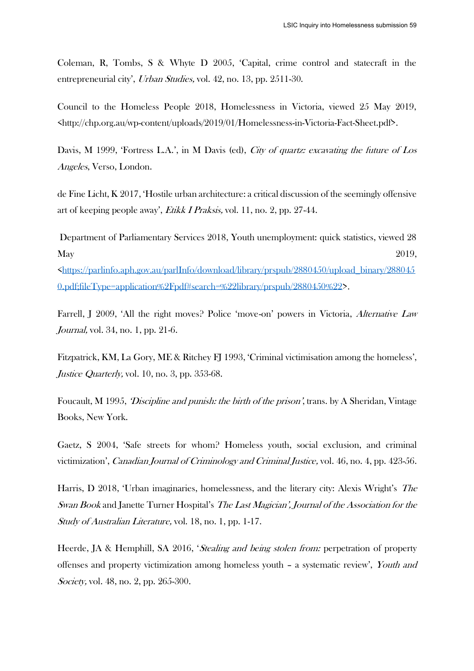Coleman, R, Tombs, S & Whyte D 2005, 'Capital, crime control and statecraft in the entrepreneurial city', Urban Studies, vol. 42, no. 13, pp. 2511-30.

Council to the Homeless People 2018, Homelessness in Victoria, viewed 25 May 2019, <http://chp.org.au/wp-content/uploads/2019/01/Homelessness-in-Victoria-Fact-Sheet.pdf>.

Davis, M 1999, 'Fortress L.A.', in M Davis (ed), *City of quartz: excavating the future of Los* Angeles, Verso, London.

de Fine Licht, K 2017, 'Hostile urban architecture: a critical discussion of the seemingly offensive art of keeping people away', Etikk I Praksis, vol. 11, no. 2, pp. 27-44.

Department of Parliamentary Services 2018, Youth unemployment: quick statistics, viewed 28  $\text{May}$  2019, [<https://parlinfo.aph.gov.au/parlInfo/download/library/prspub/2880450/upload\\_binary/288045](https://parlinfo.aph.gov.au/parlInfo/download/library/prspub/2880450/upload_binary/2880450.pdf;fileType=application%2Fpdf#search=%22library/prspub/2880450%22) [0.pdf;fileType=application%2Fpdf#search=%22library/prspub/2880450%22>](https://parlinfo.aph.gov.au/parlInfo/download/library/prspub/2880450/upload_binary/2880450.pdf;fileType=application%2Fpdf#search=%22library/prspub/2880450%22).

Farrell, J 2009, 'All the right moves? Police 'move-on' powers in Victoria, Alternative Law Journal, vol. 34, no. 1, pp. 21-6.

Fitzpatrick, KM, La Gory, ME & Ritchey FJ 1993, 'Criminal victimisation among the homeless', Justice Quarterly, vol. 10, no. 3, pp. 353-68.

Foucault, M 1995, *Discipline and punish: the birth of the prison'*, trans. by A Sheridan, Vintage Books, New York.

Gaetz, S 2004, 'Safe streets for whom? Homeless youth, social exclusion, and criminal victimization', Canadian Journal of Criminology and Criminal Justice, vol. 46, no. 4, pp. 423-56.

Harris, D 2018, 'Urban imaginaries, homelessness, and the literary city: Alexis Wright's The Swan Book and Janette Turner Hospital's The Last Magician', Journal of the Association for the Study of Australian Literature, vol. 18, no. 1, pp. 1-17.

Heerde, JA & Hemphill, SA 2016, *Stealing and being stolen from:* perpetration of property offenses and property victimization among homeless youth – a systematic review', Youth and Society, vol. 48, no. 2, pp. 265-300.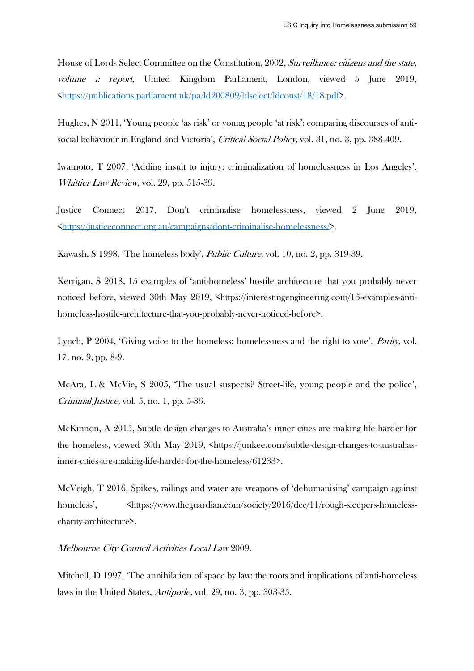House of Lords Select Committee on the Constitution, 2002, Surveillance: citizens and the state, volume i: report, United Kingdom Parliament, London, viewed 5 June 2019, [<https://publications.parliament.uk/pa/ld200809/ldselect/ldconst/18/18.pdf>](https://publications.parliament.uk/pa/ld200809/ldselect/ldconst/18/18.pdf).

Hughes, N 2011, 'Young people 'as risk' or young people 'at risk': comparing discourses of antisocial behaviour in England and Victoria', Critical Social Policy, vol. 31, no. 3, pp. 388-409.

Iwamoto, T 2007, 'Adding insult to injury: criminalization of homelessness in Los Angeles', Whittier Law Review, vol. 29, pp. 515-39.

Justice Connect 2017, Don't criminalise homelessness, viewed 2 June 2019, [<https://justiceconnect.org.au/campaigns/dont-criminalise-homelessness/>](https://justiceconnect.org.au/campaigns/dont-criminalise-homelessness/).

Kawash, S 1998, 'The homeless body', Public Culture, vol. 10, no. 2, pp. 319-39.

Kerrigan, S 2018, 15 examples of 'anti-homeless' hostile architecture that you probably never noticed before, viewed 30th May 2019, <https://interestingengineering.com/15-examples-antihomeless-hostile-architecture-that-you-probably-never-noticed-before>.

Lynch, P 2004, 'Giving voice to the homeless: homelessness and the right to vote', *Parity*, vol. 17, no. 9, pp. 8-9.

McAra, L & McVie, S 2005, 'The usual suspects? Street-life, young people and the police', Criminal Justice, vol. 5, no. 1, pp. 5-36.

McKinnon, A 2015, Subtle design changes to Australia's inner cities are making life harder for the homeless, viewed 30th May 2019, <https://junkee.com/subtle-design-changes-to-australiasinner-cities-are-making-life-harder-for-the-homeless/61233>.

McVeigh, T 2016, Spikes, railings and water are weapons of 'dehumanising' campaign against homeless',  $\langle h_{\text{https://www.theguardian.com/society/2016/dec/11/rough-sleepers-homeless-} \rangle$ charity-architecture>.

Melbourne City Council Activities Local Law 2009.

Mitchell, D 1997, 'The annihilation of space by law: the roots and implications of anti-homeless laws in the United States, Antipode, vol. 29, no. 3, pp. 303-35.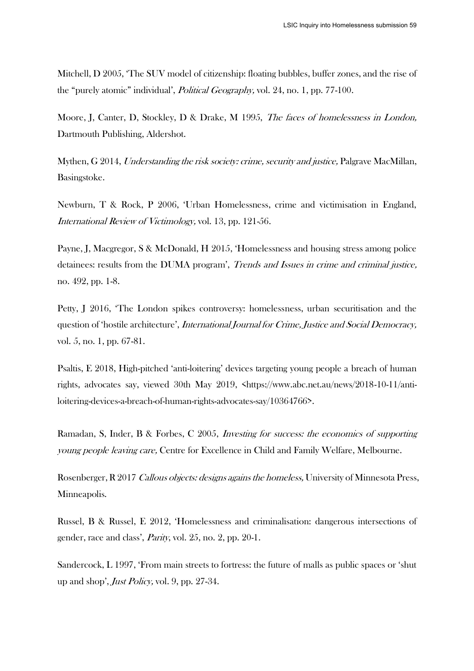Mitchell, D 2005, 'The SUV model of citizenship: floating bubbles, buffer zones, and the rise of the "purely atomic" individual', Political Geography, vol. 24, no. 1, pp. 77-100.

Moore, J, Canter, D, Stockley, D & Drake, M 1995, The faces of homelessness in London, Dartmouth Publishing, Aldershot.

Mythen, G 2014, Understanding the risk society: crime, security and justice, Palgrave MacMillan, Basingstoke.

Newburn, T & Rock, P 2006, 'Urban Homelessness, crime and victimisation in England, International Review of Victimology, vol. 13, pp. 121-56.

Payne, J, Macgregor, S & McDonald, H 2015, 'Homelessness and housing stress among police detainees: results from the DUMA program', *Trends and Issues in crime and criminal justice*, no. 492, pp. 1-8.

Petty, J 2016, 'The London spikes controversy: homelessness, urban securitisation and the question of 'hostile architecture', International Journal for Crime, Justice and Social Democracy, vol. 5, no. 1, pp. 67-81.

Psaltis, E 2018, High-pitched 'anti-loitering' devices targeting young people a breach of human rights, advocates say, viewed 30th May 2019, <https://www.abc.net.au/news/2018-10-11/antiloitering-devices-a-breach-of-human-rights-advocates-say/10364766>.

Ramadan, S, Inder, B & Forbes, C 2005, Investing for success: the economics of supporting young people leaving care, Centre for Excellence in Child and Family Welfare, Melbourne.

Rosenberger, R 2017 Callous objects: designs agains the homeless, University of Minnesota Press, Minneapolis.

Russel, B & Russel, E 2012, 'Homelessness and criminalisation: dangerous intersections of gender, race and class', Parity, vol. 25, no. 2, pp. 20-1.

Sandercock, L 1997, 'From main streets to fortress: the future of malls as public spaces or 'shut up and shop', Just Policy, vol. 9, pp. 27-34.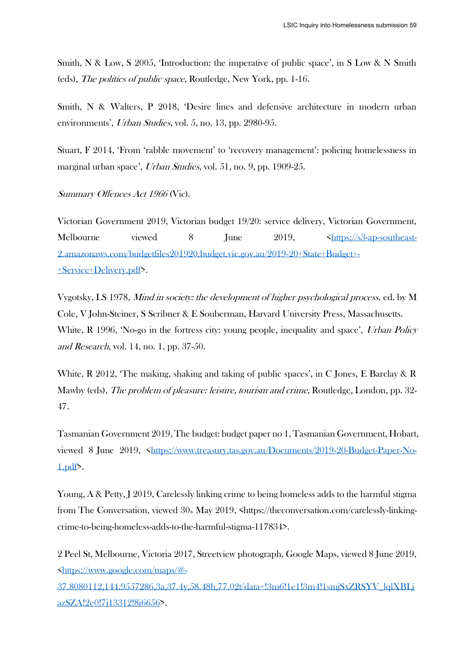Smith, N & Low, S 2005, 'Introduction: the imperative of public space', in S Low & N Smith (eds), The politics of public space, Routledge, New York, pp. 1-16.

Smith, N & Walters, P 2018, 'Desire lines and defensive architecture in modern urban environments', Urban Studies, vol. 5, no. 13, pp. 2980-95.

Stuart, F 2014, 'From 'rabble movement' to 'recovery management': policing homelessness in marginal urban space', Urban Studies, vol. 51, no. 9, pp. 1909-25.

Summary Offences Act 1966 (Vic).

Victorian Government 2019, Victorian budget 19/20: service delivery, Victorian Government, Melbourne viewed 8 June 2019, Shttps://s3-ap-southeast-[2.amazonaws.com/budgetfiles201920.budget.vic.gov.au/2019-20+State+Budget+-](https://s3-ap-southeast-2.amazonaws.com/budgetfiles201920.budget.vic.gov.au/2019-20+State+Budget+-+Service+Delivery.pdf) [+Service+Delivery.pdf>](https://s3-ap-southeast-2.amazonaws.com/budgetfiles201920.budget.vic.gov.au/2019-20+State+Budget+-+Service+Delivery.pdf).

Vygotsky, LS 1978, Mind in society: the development of higher psychological process, ed. by M Cole, V John-Steiner, S Scribner & E Souberman, Harvard University Press, Massachusetts. White, R 1996, 'No-go in the fortress city: young people, inequality and space', Urban Policy and Research, vol. 14, no. 1, pp. 37-50.

White, R 2012, 'The making, shaking and taking of public spaces', in C Jones, E Barclay & R Mawby (eds), The problem of pleasure: leisure, tourism and crime, Routledge, London, pp. 32- 47.

Tasmanian Government 2019, The budget: budget paper no 1, Tasmanian Government, Hobart, viewed 8 June 2019, [<https://www.treasury.tas.gov.au/Documents/2019-20-Budget-Paper-No-](https://www.treasury.tas.gov.au/Documents/2019-20-Budget-Paper-No-1.pdf)[1.pdf>](https://www.treasury.tas.gov.au/Documents/2019-20-Budget-Paper-No-1.pdf).

Young, A & Petty, J 2019, Carelessly linking crime to being homeless adds to the harmful stigma from The Conversation, viewed  $30<sub>th</sub>$  May 2019,  $\langle$ https://theconversation.com/carelessly-linkingcrime-to-being-homeless-adds-to-the-harmful-stigma-117834>.

2 Peel St, Melbourne, Victoria 2017, Streetview photograph, Google Maps, viewed 8 June 2019, [<https://www.google.com/maps/@-](https://www.google.com/maps/@-37.8080112,144.9557286,3a,37.4y,58.48h,77.02t/data=!3m6!1e1!3m4!1smjSxZRSYV_lqlXBLjazSZA!2e0!7i13312!8i6656)

[37.8080112,144.9557286,3a,37.4y,58.48h,77.02t/data=!3m6!1e1!3m4!1smjSxZRSYV\\_lqlXBLj](https://www.google.com/maps/@-37.8080112,144.9557286,3a,37.4y,58.48h,77.02t/data=!3m6!1e1!3m4!1smjSxZRSYV_lqlXBLjazSZA!2e0!7i13312!8i6656) [azSZA!2e0!7i13312!8i6656>](https://www.google.com/maps/@-37.8080112,144.9557286,3a,37.4y,58.48h,77.02t/data=!3m6!1e1!3m4!1smjSxZRSYV_lqlXBLjazSZA!2e0!7i13312!8i6656).